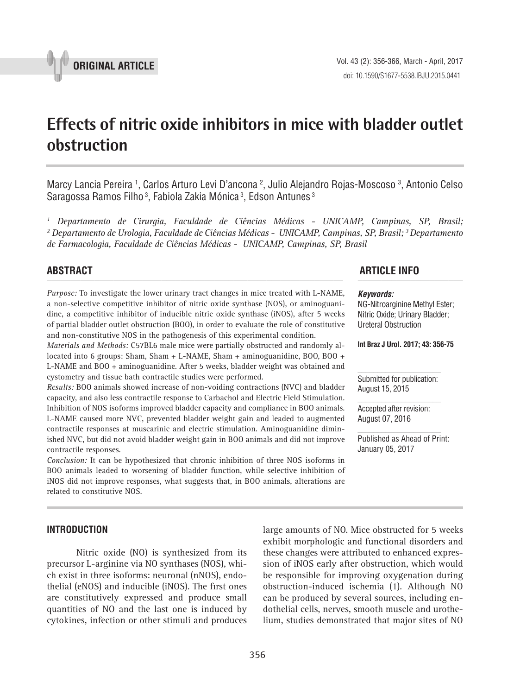

# **Effects of nitric oxide inhibitors in mice with bladder outlet obstruction \_\_\_\_\_\_\_\_\_\_\_\_\_\_\_\_\_\_\_\_\_\_\_\_\_\_\_\_\_\_\_\_\_\_\_\_\_\_\_\_\_\_\_\_\_\_\_**

Marcy Lancia Pereira <sup>1</sup>, Carlos Arturo Levi D'ancona <sup>2</sup>, Julio Alejandro Rojas-Moscoso <sup>3</sup>, Antonio Celso Saragossa Ramos Filho<sup>3</sup>, Fabiola Zakia Mónica<sup>3</sup>, Edson Antunes<sup>3</sup>

<sup>1</sup> Departamento de Cirurgia, Faculdade de Ciências Médicas - UNICAMP, Campinas, SP, Brasil; *2 Departamento de Urologia, Faculdade de Ciências Médicas - UNICAMP, Campinas, SP, Brasil; 3 Departamento de Farmacologia, Faculdade de Ciências Médicas - UNICAMP, Campinas, SP, Brasil*

*Purpose:* To investigate the lower urinary tract changes in mice treated with L-NAME, a non-selective competitive inhibitor of nitric oxide synthase (NOS), or aminoguanidine, a competitive inhibitor of inducible nitric oxide synthase (iNOS), after 5 weeks of partial bladder outlet obstruction (BOO), in order to evaluate the role of constitutive and non-constitutive NOS in the pathogenesis of this experimental condition.

*Materials and Methods:* C57BL6 male mice were partially obstructed and randomly allocated into 6 groups: Sham, Sham + L-NAME, Sham + aminoguanidine, BOO, BOO + L-NAME and BOO + aminoguanidine. After 5 weeks, bladder weight was obtained and cystometry and tissue bath contractile studies were performed.

*Results:* BOO animals showed increase of non-voiding contractions (NVC) and bladder capacity, and also less contractile response to Carbachol and Electric Field Stimulation. Inhibition of NOS isoforms improved bladder capacity and compliance in BOO animals. L-NAME caused more NVC, prevented bladder weight gain and leaded to augmented contractile responses at muscarinic and electric stimulation. Aminoguanidine diminished NVC, but did not avoid bladder weight gain in BOO animals and did not improve contractile responses.

*Conclusion:* It can be hypothesized that chronic inhibition of three NOS isoforms in BOO animals leaded to worsening of bladder function, while selective inhibition of iNOS did not improve responses, what suggests that, in BOO animals, alterations are related to constitutive NOS.

# **INTRODUCTION**

Nitric oxide (NO) is synthesized from its precursor L-arginine via NO synthases (NOS), which exist in three isoforms: neuronal (nNOS), endothelial (eNOS) and inducible (iNOS). The first ones are constitutively expressed and produce small quantities of NO and the last one is induced by cytokines, infection or other stimuli and produces large amounts of NO. Mice obstructed for 5 weeks exhibit morphologic and functional disorders and these changes were attributed to enhanced expression of iNOS early after obstruction, which would be responsible for improving oxygenation during obstruction-induced ischemia (1). Although NO can be produced by several sources, including endothelial cells, nerves, smooth muscle and urothelium, studies demonstrated that major sites of NO

# **ABSTRACT ARTICLE INFO** *\_\_\_\_\_\_\_\_\_\_\_\_\_\_\_\_\_\_\_\_\_\_\_\_\_\_\_\_\_\_\_\_\_\_\_\_\_\_\_\_\_\_\_\_\_\_\_\_\_\_\_\_\_\_\_\_\_\_\_\_\_\_ \_\_\_\_\_\_\_\_\_\_\_\_\_\_\_\_\_\_\_\_\_\_*

#### *Keywords:*

NG-Nitroarginine Methyl Ester; Nitric Oxide; Urinary Bladder; Ureteral Obstruction

**Int Braz J Urol. 2017; 43: 356-75**

Submitted for publication: August 15, 2015

Accepted after revision: August 07, 2016

Published as Ahead of Print: January 05, 2017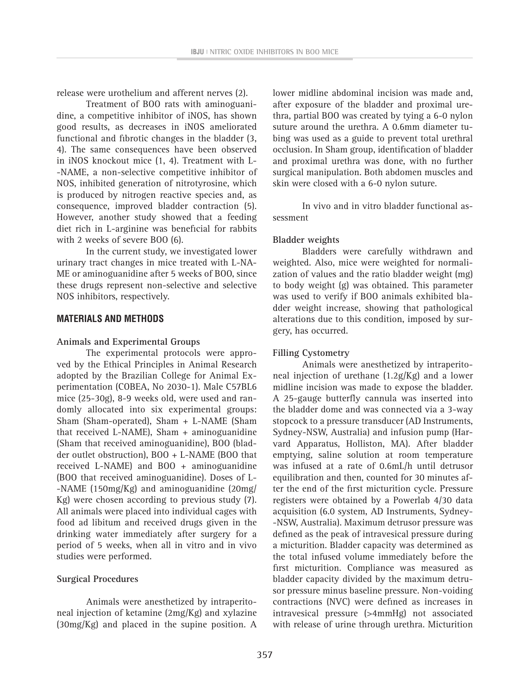release were urothelium and afferent nerves (2).

Treatment of BOO rats with aminoguanidine, a competitive inhibitor of iNOS, has shown good results, as decreases in iNOS ameliorated functional and fibrotic changes in the bladder (3, 4). The same consequences have been observed in iNOS knockout mice (1, 4). Treatment with L- -NAME, a non-selective competitive inhibitor of NOS, inhibited generation of nitrotyrosine, which is produced by nitrogen reactive species and, as consequence, improved bladder contraction (5). However, another study showed that a feeding diet rich in L-arginine was beneficial for rabbits with 2 weeks of severe BOO (6).

In the current study, we investigated lower urinary tract changes in mice treated with L-NA-ME or aminoguanidine after 5 weeks of BOO, since these drugs represent non-selective and selective NOS inhibitors, respectively.

#### **MATERIALS AND METHODS**

#### **Animals and Experimental Groups**

The experimental protocols were approved by the Ethical Principles in Animal Research adopted by the Brazilian College for Animal Experimentation (COBEA, No 2030-1). Male C57BL6 mice (25-30g), 8-9 weeks old, were used and randomly allocated into six experimental groups: Sham (Sham-operated), Sham + L-NAME (Sham that received L-NAME), Sham + aminoguanidine (Sham that received aminoguanidine), BOO (bladder outlet obstruction), BOO + L-NAME (BOO that received L-NAME) and BOO + aminoguanidine (BOO that received aminoguanidine). Doses of L- -NAME (150mg/Kg) and aminoguanidine (20mg/ Kg) were chosen according to previous study (7). All animals were placed into individual cages with food ad libitum and received drugs given in the drinking water immediately after surgery for a period of 5 weeks, when all in vitro and in vivo studies were performed.

#### **Surgical Procedures**

Animals were anesthetized by intraperitoneal injection of ketamine (2mg/Kg) and xylazine (30mg/Kg) and placed in the supine position. A lower midline abdominal incision was made and, after exposure of the bladder and proximal urethra, partial BOO was created by tying a 6-0 nylon suture around the urethra. A 0.6mm diameter tubing was used as a guide to prevent total urethral occlusion. In Sham group, identification of bladder and proximal urethra was done, with no further surgical manipulation. Both abdomen muscles and skin were closed with a 6-0 nylon suture.

In vivo and in vitro bladder functional assessment

### **Bladder weights**

Bladders were carefully withdrawn and weighted. Also, mice were weighted for normalization of values and the ratio bladder weight (mg) to body weight (g) was obtained. This parameter was used to verify if BOO animals exhibited bladder weight increase, showing that pathological alterations due to this condition, imposed by surgery, has occurred.

# **Filling Cystometry**

Animals were anesthetized by intraperitoneal injection of urethane (1.2g/Kg) and a lower midline incision was made to expose the bladder. A 25-gauge butterfly cannula was inserted into the bladder dome and was connected via a 3-way stopcock to a pressure transducer (AD Instruments, Sydney-NSW, Australia) and infusion pump (Harvard Apparatus, Holliston, MA). After bladder emptying, saline solution at room temperature was infused at a rate of 0.6mL/h until detrusor equilibration and then, counted for 30 minutes after the end of the first micturition cycle. Pressure registers were obtained by a Powerlab 4/30 data acquisition (6.0 system, AD Instruments, Sydney- -NSW, Australia). Maximum detrusor pressure was defined as the peak of intravesical pressure during a micturition. Bladder capacity was determined as the total infused volume immediately before the first micturition. Compliance was measured as bladder capacity divided by the maximum detrusor pressure minus baseline pressure. Non-voiding contractions (NVC) were defined as increases in intravesical pressure (>4mmHg) not associated with release of urine through urethra. Micturition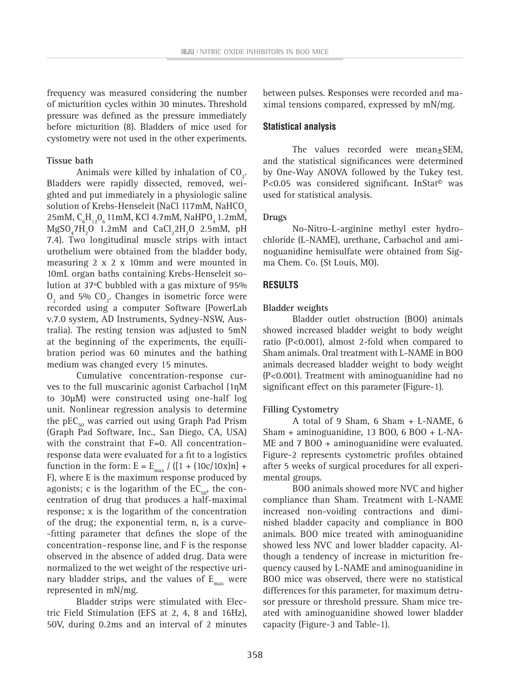frequency was measured considering the number of micturition cycles within 30 minutes. Threshold pressure was defined as the pressure immediately before micturition (8). Bladders of mice used for cystometry were not used in the other experiments.

# **Tissue bath**

Animals were killed by inhalation of  $CO<sub>2</sub>$ . Bladders were rapidly dissected, removed, weighted and put immediately in a physiologic saline solution of Krebs-Henseleit (NaCl 117mM, NaHCO<sub>3</sub>  $25 \text{mM}, \text{C}_{6} \text{H}_{12} \text{O}_{6}$  11 mM, KCl 4.7 mM, NaHPO<sub>4</sub> 1.2 mM,  $MgSO_{4}7H_{2}O$  1.2mM and  $CaCl_{2}2H_{2}O$  2.5mM, pH 7.4). Two longitudinal muscle strips with intact urothelium were obtained from the bladder body, measuring 2 x 2 x 10mm and were mounted in 10mL organ baths containing Krebs-Henseleit solution at 37ºC bubbled with a gas mixture of 95%  $0<sub>2</sub>$  and 5% CO<sub>2</sub>. Changes in isometric force were recorded using a computer Software (PowerLab v.7.0 system, AD Instruments, Sydney-NSW, Australia). The resting tension was adjusted to 5mN at the beginning of the experiments, the equilibration period was 60 minutes and the bathing medium was changed every 15 minutes.

Cumulative concentration-response curves to the full muscarinic agonist Carbachol (1nM to 30μM) were constructed using one-half log unit. Nonlinear regression analysis to determine the  $pEC_{50}$  was carried out using Graph Pad Prism (Graph Pad Software, Inc., San Diego, CA, USA) with the constraint that F=0. All concentrationresponse data were evaluated for a fit to a logistics function in the form:  $E = E_{max} / ([1 + (10c/10x)n] +$ F), where E is the maximum response produced by agonists; c is the logarithm of the  $EC_{50}$ , the concentration of drug that produces a half-maximal response; x is the logarithm of the concentration of the drug; the exponential term, n, is a curve- -fitting parameter that defines the slope of the concentration–response line, and F is the response observed in the absence of added drug. Data were normalized to the wet weight of the respective urinary bladder strips, and the values of  $E_{max}$  were represented in mN/mg.

Bladder strips were stimulated with Electric Field Stimulation (EFS at 2, 4, 8 and 16Hz), 50V, during 0.2ms and an interval of 2 minutes between pulses. Responses were recorded and maximal tensions compared, expressed by mN/mg.

# **Statistical analysis**

The values recorded were mean $\pm$ SEM, and the statistical significances were determined by One-Way ANOVA followed by the Tukey test. P<0.05 was considered significant. InStat<sup>®</sup> was used for statistical analysis.

### **Drugs**

No-Nitro-L-arginine methyl ester hydrochloride (L-NAME), urethane, Carbachol and aminoguanidine hemisulfate were obtained from Sigma Chem. Co. (St Louis, MO).

# **RESULTS**

# **Bladder weights**

Bladder outlet obstruction (BOO) animals showed increased bladder weight to body weight ratio (P<0.001), almost 2-fold when compared to Sham animals. Oral treatment with L-NAME in BOO animals decreased bladder weight to body weight (P<0.001). Treatment with aminoguanidine had no significant effect on this parameter (Figure-1).

# **Filling Cystometry**

A total of 9 Sham, 6 Sham + L-NAME, 6 Sham + aminoguanidine, 13 BOO, 6 BOO + L-NA-ME and 7 BOO + aminoguanidine were evaluated. Figure-2 represents cystometric profiles obtained after 5 weeks of surgical procedures for all experimental groups.

BOO animals showed more NVC and higher compliance than Sham. Treatment with L-NAME increased non-voiding contractions and diminished bladder capacity and compliance in BOO animals. BOO mice treated with aminoguanidine showed less NVC and lower bladder capacity. Although a tendency of increase in micturition frequency caused by L-NAME and aminoguanidine in BOO mice was observed, there were no statistical differences for this parameter, for maximum detrusor pressure or threshold pressure. Sham mice treated with aminoguanidine showed lower bladder capacity (Figure-3 and Table-1).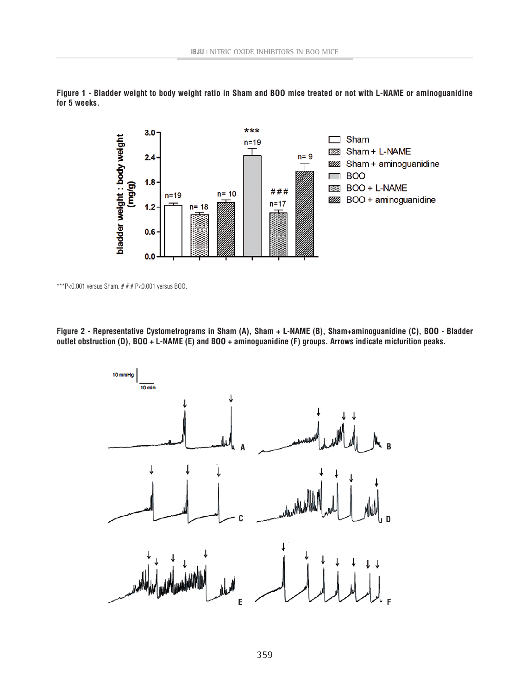

**Figure 1 - Bladder weight to body weight ratio in Sham and BOO mice treated or not with L-NAME or aminoguanidine for 5 weeks.**

\*\*\*P<0.001 versus Sham.  $# # P < 0.001$  versus BOO.

**Figure 2 - Representative Cystometrograms in Sham (A), Sham + L-NAME (B), Sham+aminoguanidine (C), BOO - Bladder outlet obstruction (D), BOO + L-NAME (E) and BOO + aminoguanidine (F) groups. Arrows indicate micturition peaks.**

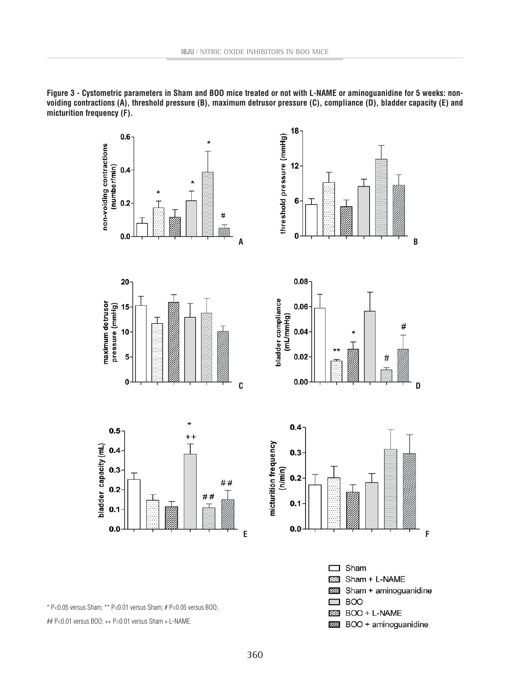

**Figure 3 - Cystometric parameters in Sham and BOO mice treated or not with L-NAME or aminoguanidine for 5 weeks: nonvoiding contractions (A), threshold pressure (B), maximum detrusor pressure (C), compliance (D), bladder capacity (E) and micturition frequency (F).**

\* P<0.05 versus Sham; \*\* P<0.01 versus Sham; # P<0.05 versus BOO;

## P<0.01 versus BOO; ++ P<0.01 versus Sham + L-NAME.

BOO + L-NAME

800 + aminoguanidine

23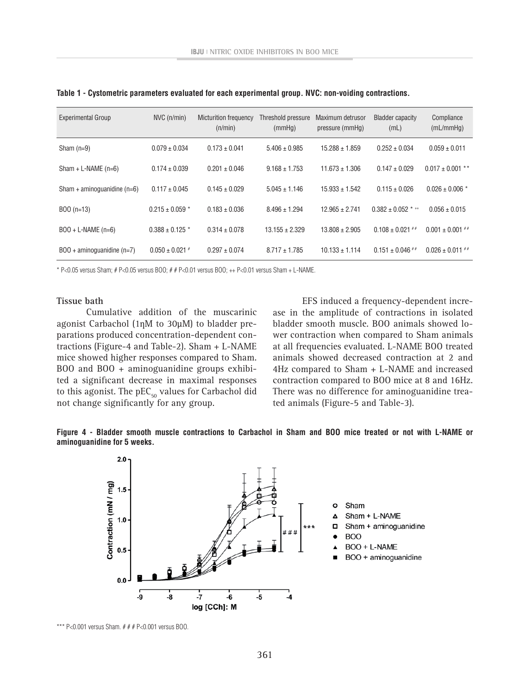| <b>Experimental Group</b>           | $NVC$ ( $n/min$ )   | <b>Micturition frequency</b><br>(n/min) | Threshold pressure<br>(mmHq) | Maximum detrusor<br>pressure (mmHq) | <b>Bladder capacity</b><br>(mL) | Compliance<br>(mL/mm Hq) |
|-------------------------------------|---------------------|-----------------------------------------|------------------------------|-------------------------------------|---------------------------------|--------------------------|
| Sham $(n=9)$                        | $0.079 \pm 0.034$   | $0.173 \pm 0.041$                       | $5.406 \pm 0.985$            | $15.288 \pm 1.859$                  | $0.252 \pm 0.034$               | $0.059 \pm 0.011$        |
| Sham + L-NAME $(n=6)$               | $0.174 \pm 0.039$   | $0.201 \pm 0.046$                       | $9.168 \pm 1.753$            | $11.673 \pm 1.306$                  | $0.147 \pm 0.029$               | $0.017 \pm 0.001$ **     |
| Sham + aminoquanidine $(n=6)$       | $0.117 \pm 0.045$   | $0.145 \pm 0.029$                       | $5.045 \pm 1.146$            | $15.933 \pm 1.542$                  | $0.115 \pm 0.026$               | $0.026 \pm 0.006$ *      |
| $B00(n=13)$                         | $0.215 \pm 0.059$ * | $0.183 \pm 0.036$                       | $8.496 \pm 1.294$            | $12.965 \pm 2.741$                  | $0.382 \pm 0.052$ * $\pm$       | $0.056 \pm 0.015$        |
| $BOO + L-NAME (n=6)$                | $0.388 \pm 0.125$ * | $0.314 \pm 0.078$                       | $13.155 \pm 2.329$           | $13.808 \pm 2.905$                  | $0.108 \pm 0.021$ ##            | $0.001 \pm 0.001$ ##     |
| $BOO + \text{aminoguanidine}$ (n=7) | $0.050 \pm 0.021$ # | $0.297 \pm 0.074$                       | $8.717 \pm 1.785$            | $10.133 \pm 1.114$                  | $0.151 \pm 0.046$ ##            | $0.026 \pm 0.011$ ##     |

**Table 1 - Cystometric parameters evaluated for each experimental group. NVC: non-voiding contractions.**

\* P<0.05 versus Sham; # P<0.05 versus BOO; # # P<0.01 versus BOO; ++ P<0.01 versus Sham + L-NAME.

#### **Tissue bath**

Cumulative addition of the muscarinic agonist Carbachol (1nM to 30µM) to bladder preparations produced concentration-dependent contractions (Figure-4 and Table-2). Sham + L-NAME mice showed higher responses compared to Sham. BOO and BOO + aminoguanidine groups exhibited a significant decrease in maximal responses to this agonist. The  $pEC_{50}$  values for Carbachol did not change significantly for any group.

EFS induced a frequency-dependent increase in the amplitude of contractions in isolated bladder smooth muscle. BOO animals showed lower contraction when compared to Sham animals at all frequencies evaluated. L-NAME BOO treated animals showed decreased contraction at 2 and 4Hz compared to Sham + L-NAME and increased contraction compared to BOO mice at 8 and 16Hz. There was no difference for aminoguanidine treated animals (Figure-5 and Table-3).





\*\*\* P<0.001 versus Sham.  $# # P < 0.001$  versus BOO.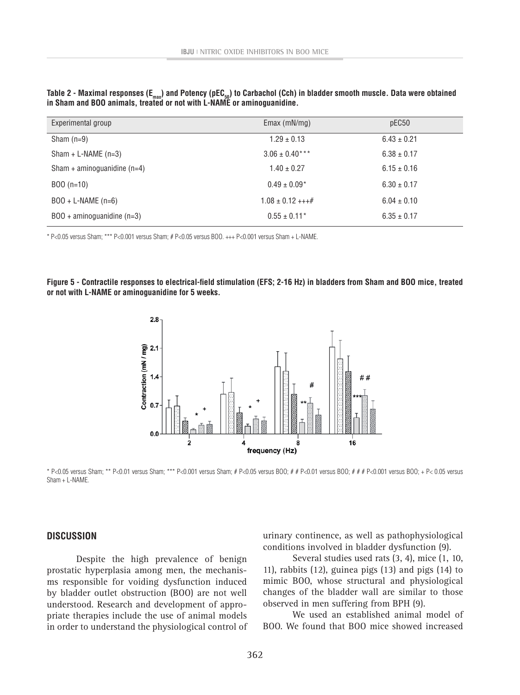| In Sham and BOO animals, treated or not with L-NAME or aminoquanique. |                    |                 |  |  |  |  |
|-----------------------------------------------------------------------|--------------------|-----------------|--|--|--|--|
| Experimental group                                                    | Emax $(mN/mq)$     | pEC50           |  |  |  |  |
| Sham $(n=9)$                                                          | $1.29 \pm 0.13$    | $6.43 \pm 0.21$ |  |  |  |  |
| Sham + L-NAME $(n=3)$                                                 | $3.06 \pm 0.40***$ | $6.38 \pm 0.17$ |  |  |  |  |
| Sham + aminoguanidine $(n=4)$                                         | $1.40 \pm 0.27$    | $6.15 \pm 0.16$ |  |  |  |  |

BOO (n=10) 6.30  $\pm$  0.17  $B00 + L-NAME (n=6)$   $1.08 \pm 0.12 + ++#$   $6.04 \pm 0.10$ BOO + aminoguanidine (n=3)  $0.55 \pm 0.11^*$  6.35  $\pm 0.17$ 

Table 2 - Maximal responses (E<sub>max</sub>) and Potency (pEC<sub>50</sub>) to Carbachol (Cch) in bladder smooth muscle. Data were obtained **in Sham and BOO animals, treated or not with L-NAME or aminoguanidine.**

\* P<0.05 versus Sham; \*\*\* P<0.001 versus Sham; # P<0.05 versus BOO. +++ P<0.001 versus Sham + L-NAME.

**Figure 5 - Contractile responses to electrical-field stimulation (EFS; 2-16 Hz) in bladders from Sham and BOO mice, treated or not with L-NAME or aminoguanidine for 5 weeks.**



\* P<0.05 versus Sham; \*\* P<0.01 versus Sham; \*\*\* P<0.001 versus Sham; # P<0.05 versus BOO; # # P<0.01 versus BOO; # # # P<0.001 versus BOO; + P< 0.05 versus  $Sham + I - NAMF$ 

#### **DISCUSSION**

Despite the high prevalence of benign prostatic hyperplasia among men, the mechanisms responsible for voiding dysfunction induced by bladder outlet obstruction (BOO) are not well understood. Research and development of appropriate therapies include the use of animal models in order to understand the physiological control of urinary continence, as well as pathophysiological conditions involved in bladder dysfunction (9).

Several studies used rats (3, 4), mice (1, 10, 11), rabbits (12), guinea pigs (13) and pigs (14) to mimic BOO, whose structural and physiological changes of the bladder wall are similar to those observed in men suffering from BPH (9).

We used an established animal model of BOO. We found that BOO mice showed increased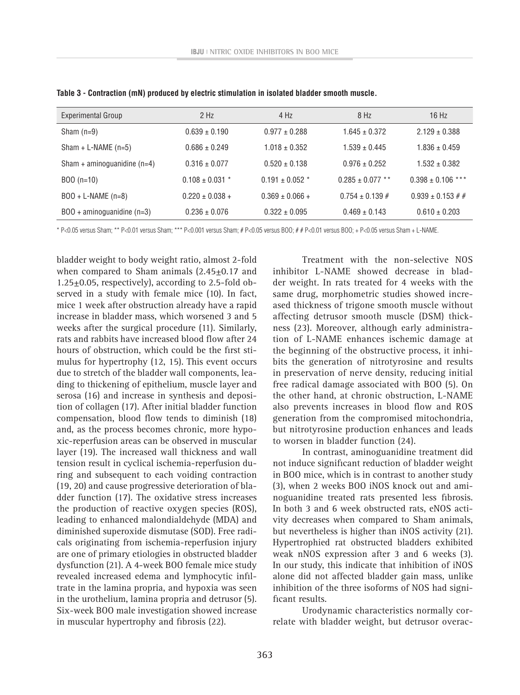| <b>Experimental Group</b>           | $2$ Hz              | 4 Hz                | 8 Hz                 | 16 Hz                   |
|-------------------------------------|---------------------|---------------------|----------------------|-------------------------|
| Sham $(n=9)$                        | $0.639 \pm 0.190$   | $0.977 \pm 0.288$   | $1.645 \pm 0.372$    | $2.129 \pm 0.388$       |
| $Sham + L-NAME (n=5)$               | $0.686 \pm 0.249$   | $1.018 \pm 0.352$   | $1.539 \pm 0.445$    | $1.836 \pm 0.459$       |
| Sham + aminoguanidine $(n=4)$       | $0.316 \pm 0.077$   | $0.520 \pm 0.138$   | $0.976 \pm 0.252$    | $1.532 \pm 0.382$       |
| $BOO(n=10)$                         | $0.108 \pm 0.031$ * | $0.191 \pm 0.052$ * | $0.285 \pm 0.077$ ** | $0.398 \pm 0.106$ ***   |
| $BOO + L-NAME (n=8)$                | $0.220 \pm 0.038 +$ | $0.369 \pm 0.066 +$ | $0.754 \pm 0.139 \#$ | $0.939 \pm 0.153 \# \#$ |
| $BOO + \text{aminoguanidine}$ (n=3) | $0.236 \pm 0.076$   | $0.322 \pm 0.095$   | $0.469 \pm 0.143$    | $0.610 \pm 0.203$       |

**Table 3 - Contraction (mN) produced by electric stimulation in isolated bladder smooth muscle.** 

\* P<0.05 versus Sham; \*\* P<0.01 versus Sham; \*\*\* P<0.001 versus Sham; # P<0.05 versus BOO; # # P<0.01 versus BOO; + P<0.05 versus Sham + L-NAME.

bladder weight to body weight ratio, almost 2-fold when compared to Sham animals  $(2.45\pm0.17$  and  $1.25\pm0.05$ , respectively), according to 2.5-fold observed in a study with female mice (10). In fact, mice 1 week after obstruction already have a rapid increase in bladder mass, which worsened 3 and 5 weeks after the surgical procedure (11). Similarly, rats and rabbits have increased blood flow after 24 hours of obstruction, which could be the first stimulus for hypertrophy (12, 15). This event occurs due to stretch of the bladder wall components, leading to thickening of epithelium, muscle layer and serosa (16) and increase in synthesis and deposition of collagen (17). After initial bladder function compensation, blood flow tends to diminish (18) and, as the process becomes chronic, more hypoxic-reperfusion areas can be observed in muscular layer (19). The increased wall thickness and wall tension result in cyclical ischemia-reperfusion during and subsequent to each voiding contraction (19, 20) and cause progressive deterioration of bladder function (17). The oxidative stress increases the production of reactive oxygen species (ROS), leading to enhanced malondialdehyde (MDA) and diminished superoxide dismutase (SOD). Free radicals originating from ischemia-reperfusion injury are one of primary etiologies in obstructed bladder dysfunction (21). A 4-week BOO female mice study revealed increased edema and lymphocytic infiltrate in the lamina propria, and hypoxia was seen in the urothelium, lamina propria and detrusor (5). Six-week BOO male investigation showed increase in muscular hypertrophy and fibrosis (22).

Treatment with the non-selective NOS inhibitor L-NAME showed decrease in bladder weight. In rats treated for 4 weeks with the same drug, morphometric studies showed increased thickness of trigone smooth muscle without affecting detrusor smooth muscle (DSM) thickness (23). Moreover, although early administration of L-NAME enhances ischemic damage at the beginning of the obstructive process, it inhibits the generation of nitrotyrosine and results in preservation of nerve density, reducing initial free radical damage associated with BOO (5). On the other hand, at chronic obstruction, L-NAME also prevents increases in blood flow and ROS generation from the compromised mitochondria, but nitrotyrosine production enhances and leads to worsen in bladder function (24).

In contrast, aminoguanidine treatment did not induce significant reduction of bladder weight in BOO mice, which is in contrast to another study (3), when 2 weeks BOO iNOS knock out and aminoguanidine treated rats presented less fibrosis. In both 3 and 6 week obstructed rats, eNOS activity decreases when compared to Sham animals, but nevertheless is higher than iNOS activity (21). Hypertrophied rat obstructed bladders exhibited weak nNOS expression after 3 and 6 weeks (3). In our study, this indicate that inhibition of iNOS alone did not affected bladder gain mass, unlike inhibition of the three isoforms of NOS had significant results.

Urodynamic characteristics normally correlate with bladder weight, but detrusor overac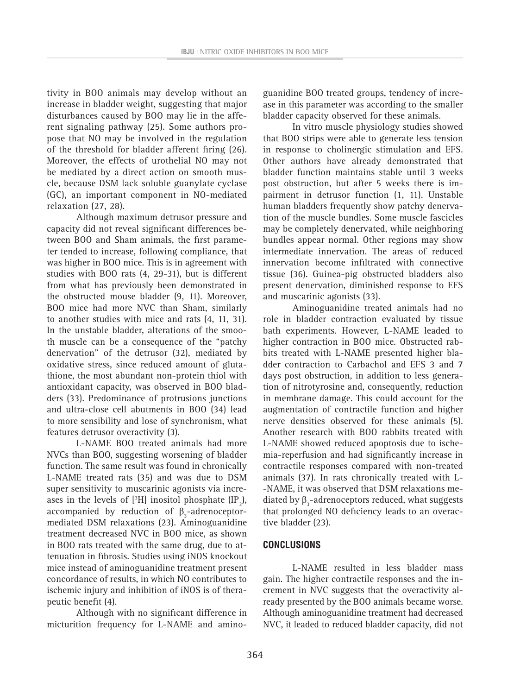tivity in BOO animals may develop without an increase in bladder weight, suggesting that major disturbances caused by BOO may lie in the afferent signaling pathway (25). Some authors propose that NO may be involved in the regulation of the threshold for bladder afferent firing (26). Moreover, the effects of urothelial NO may not be mediated by a direct action on smooth muscle, because DSM lack soluble guanylate cyclase (GC), an important component in NO-mediated relaxation (27, 28).

Although maximum detrusor pressure and capacity did not reveal significant differences between BOO and Sham animals, the first parameter tended to increase, following compliance, that was higher in BOO mice. This is in agreement with studies with BOO rats (4, 29-31), but is different from what has previously been demonstrated in the obstructed mouse bladder (9, 11). Moreover, BOO mice had more NVC than Sham, similarly to another studies with mice and rats (4, 11, 31). In the unstable bladder, alterations of the smooth muscle can be a consequence of the "patchy denervation" of the detrusor (32), mediated by oxidative stress, since reduced amount of glutathione, the most abundant non-protein thiol with antioxidant capacity, was observed in BOO bladders (33). Predominance of protrusions junctions and ultra-close cell abutments in BOO (34) lead to more sensibility and lose of synchronism, what features detrusor overactivity (3).

L-NAME BOO treated animals had more NVCs than BOO, suggesting worsening of bladder function. The same result was found in chronically L-NAME treated rats (35) and was due to DSM super sensitivity to muscarinic agonists via increases in the levels of  $[3H]$  inositol phosphate  $[IP_3]$ , accompanied by reduction of  $\beta_3$ -adrenoceptormediated DSM relaxations (23). Aminoguanidine treatment decreased NVC in BOO mice, as shown in BOO rats treated with the same drug, due to attenuation in fibrosis. Studies using iNOS knockout mice instead of aminoguanidine treatment present concordance of results, in which NO contributes to ischemic injury and inhibition of iNOS is of therapeutic benefit (4).

Although with no significant difference in micturition frequency for L-NAME and aminoguanidine BOO treated groups, tendency of increase in this parameter was according to the smaller bladder capacity observed for these animals.

In vitro muscle physiology studies showed that BOO strips were able to generate less tension in response to cholinergic stimulation and EFS. Other authors have already demonstrated that bladder function maintains stable until 3 weeks post obstruction, but after 5 weeks there is impairment in detrusor function (1, 11). Unstable human bladders frequently show patchy denervation of the muscle bundles. Some muscle fascicles may be completely denervated, while neighboring bundles appear normal. Other regions may show intermediate innervation. The areas of reduced innervation become infiltrated with connective tissue (36). Guinea-pig obstructed bladders also present denervation, diminished response to EFS and muscarinic agonists (33).

Aminoguanidine treated animals had no role in bladder contraction evaluated by tissue bath experiments. However, L-NAME leaded to higher contraction in BOO mice. Obstructed rabbits treated with L-NAME presented higher bladder contraction to Carbachol and EFS 3 and 7 days post obstruction, in addition to less generation of nitrotyrosine and, consequently, reduction in membrane damage. This could account for the augmentation of contractile function and higher nerve densities observed for these animals (5). Another research with BOO rabbits treated with L-NAME showed reduced apoptosis due to ischemia-reperfusion and had significantly increase in contractile responses compared with non-treated animals (37). In rats chronically treated with L- -NAME, it was observed that DSM relaxations mediated by  $\beta_3$ -adrenoceptors reduced, what suggests that prolonged NO deficiency leads to an overactive bladder (23).

#### **CONCLUSIONS**

L-NAME resulted in less bladder mass gain. The higher contractile responses and the increment in NVC suggests that the overactivity already presented by the BOO animals became worse. Although aminoguanidine treatment had decreased NVC, it leaded to reduced bladder capacity, did not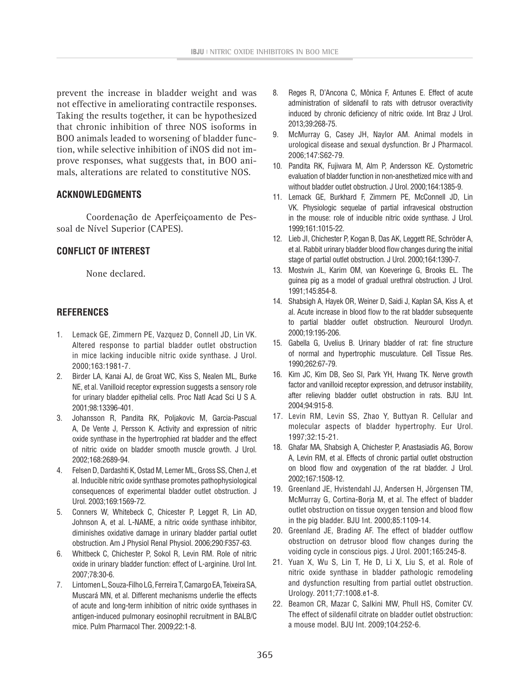prevent the increase in bladder weight and was not effective in ameliorating contractile responses. Taking the results together, it can be hypothesized that chronic inhibition of three NOS isoforms in BOO animals leaded to worsening of bladder function, while selective inhibition of iNOS did not improve responses, what suggests that, in BOO animals, alterations are related to constitutive NOS.

### **ACKNOWLEDGMENTS**

Coordenação de Aperfeiçoamento de Pessoal de Nível Superior (CAPES).

# **CONFLICT OF INTEREST**

None declared.

# **REFERENCES**

- 1. Lemack GE, Zimmern PE, Vazquez D, Connell JD, Lin VK. Altered response to partial bladder outlet obstruction in mice lacking inducible nitric oxide synthase. J Urol. 2000;163:1981-7.
- 2. Birder LA, Kanai AJ, de Groat WC, Kiss S, Nealen ML, Burke NE, et al. Vanilloid receptor expression suggests a sensory role for urinary bladder epithelial cells. Proc Natl Acad Sci U S A. 2001;98:13396-401.
- 3. Johansson R, Pandita RK, Poljakovic M, Garcia-Pascual A, De Vente J, Persson K. Activity and expression of nitric oxide synthase in the hypertrophied rat bladder and the effect of nitric oxide on bladder smooth muscle growth. J Urol. 2002;168:2689-94.
- 4. Felsen D, Dardashti K, Ostad M, Lemer ML, Gross SS, Chen J, et al. Inducible nitric oxide synthase promotes pathophysiological consequences of experimental bladder outlet obstruction. J Urol. 2003;169:1569-72.
- 5. Conners W, Whitebeck C, Chicester P, Legget R, Lin AD, Johnson A, et al. L-NAME, a nitric oxide synthase inhibitor, diminishes oxidative damage in urinary bladder partial outlet obstruction. Am J Physiol Renal Physiol. 2006;290:F357-63.
- 6. Whitbeck C, Chichester P, Sokol R, Levin RM. Role of nitric oxide in urinary bladder function: effect of L-arginine. Urol Int. 2007;78:30-6.
- 7. Lintomen L, Souza-Filho LG, Ferreira T, Camargo EA, Teixeira SA, Muscará MN, et al. Different mechanisms underlie the effects of acute and long-term inhibition of nitric oxide synthases in antigen-induced pulmonary eosinophil recruitment in BALB/C mice. Pulm Pharmacol Ther. 2009;22:1-8.
- 8. Reges R, D'Ancona C, Mônica F, Antunes E. Effect of acute administration of sildenafil to rats with detrusor overactivity induced by chronic deficiency of nitric oxide. Int Braz J Urol. 2013;39:268-75.
- 9. McMurray G, Casey JH, Naylor AM. Animal models in urological disease and sexual dysfunction. Br J Pharmacol. 2006;147:S62-79.
- 10. Pandita RK, Fujiwara M, Alm P, Andersson KE. Cystometric evaluation of bladder function in non-anesthetized mice with and without bladder outlet obstruction. J Urol. 2000;164:1385-9.
- 11. Lemack GE, Burkhard F, Zimmern PE, McConnell JD, Lin VK. Physiologic sequelae of partial infravesical obstruction in the mouse: role of inducible nitric oxide synthase. J Urol. 1999;161:1015-22.
- 12. Lieb JI, Chichester P, Kogan B, Das AK, Leggett RE, Schröder A, et al. Rabbit urinary bladder blood flow changes during the initial stage of partial outlet obstruction. J Urol. 2000;164:1390-7.
- 13. Mostwin JL, Karim OM, van Koeveringe G, Brooks EL. The guinea pig as a model of gradual urethral obstruction. J Urol. 1991;145:854-8.
- 14. Shabsigh A, Hayek OR, Weiner D, Saidi J, Kaplan SA, Kiss A, et al. Acute increase in blood flow to the rat bladder subsequente to partial bladder outlet obstruction. Neurourol Urodyn. 2000;19:195-206.
- 15. Gabella G, Uvelius B. Urinary bladder of rat: fine structure of normal and hypertrophic musculature. Cell Tissue Res. 1990;262:67-79.
- 16. Kim JC, Kim DB, Seo SI, Park YH, Hwang TK. Nerve growth factor and vanilloid receptor expression, and detrusor instability, after relieving bladder outlet obstruction in rats. BJU Int. 2004;94:915-8.
- 17. Levin RM, Levin SS, Zhao Y, Buttyan R. Cellular and molecular aspects of bladder hypertrophy. Eur Urol. 1997;32:15-21.
- 18. Ghafar MA, Shabsigh A, Chichester P, Anastasiadis AG, Borow A, Levin RM, et al. Effects of chronic partial outlet obstruction on blood flow and oxygenation of the rat bladder. J Urol. 2002;167:1508-12.
- 19. Greenland JE, Hvistendahl JJ, Andersen H, Jörgensen TM, McMurray G, Cortina-Borja M, et al. The effect of bladder outlet obstruction on tissue oxygen tension and blood flow in the pig bladder. BJU Int. 2000;85:1109-14.
- 20. Greenland JE, Brading AF. The effect of bladder outflow obstruction on detrusor blood flow changes during the voiding cycle in conscious pigs. J Urol. 2001;165:245-8.
- 21. Yuan X, Wu S, Lin T, He D, Li X, Liu S, et al. Role of nitric oxide synthase in bladder pathologic remodeling and dysfunction resulting from partial outlet obstruction. Urology. 2011;77:1008.e1-8.
- 22. Beamon CR, Mazar C, Salkini MW, Phull HS, Comiter CV. The effect of sildenafil citrate on bladder outlet obstruction: a mouse model. BJU Int. 2009;104:252-6.